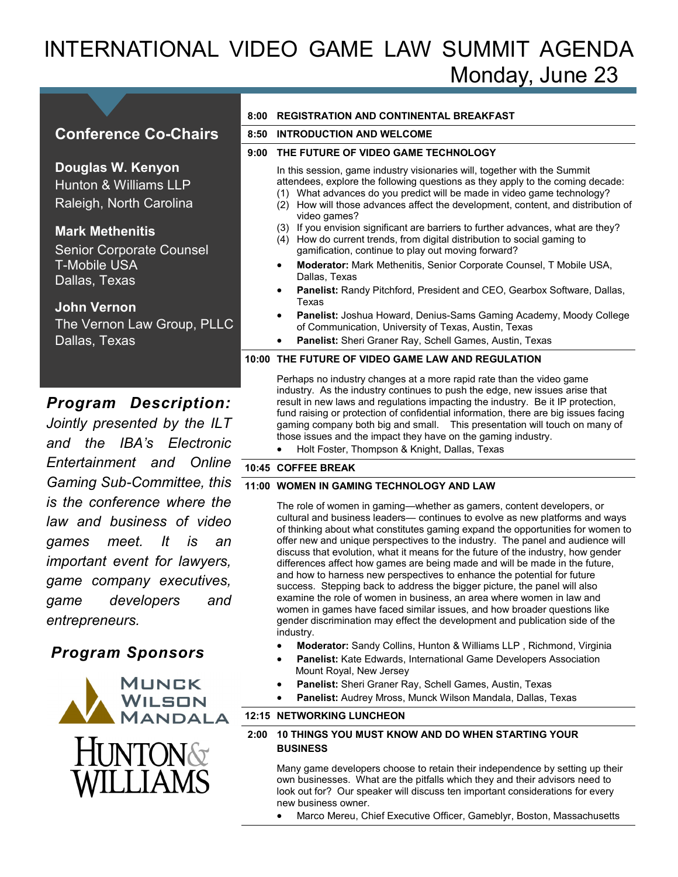# INTERNATIONAL VIDEO GAME LAW SUMMIT AGENDA Monday, June 23

## **Conference Co-Chairs**

**Douglas W. Kenyon**  Hunton & Williams LLP Raleigh, North Carolina

### **Mark Methenitis**

Senior Corporate Counsel T-Mobile USA Dallas, Texas

#### **John Vernon**

The Vernon Law Group, PLLC Dallas, Texas

### *Program Description:*

*Jointly presented by the ILT and the IBA's Electronic Entertainment and Online Gaming Sub-Committee, this is the conference where the law and business of video games meet. It is an important event for lawyers, game company executives, game developers and entrepreneurs.* 

# *Program Sponsors*



#### **8:00 REGISTRATION AND CONTINENTAL BREAKFAST**

#### **8:50 INTRODUCTION AND WELCOME**

#### **9:00 THE FUTURE OF VIDEO GAME TECHNOLOGY**

In this session, game industry visionaries will, together with the Summit attendees, explore the following questions as they apply to the coming decade:

- (1) What advances do you predict will be made in video game technology?
- (2) How will those advances affect the development, content, and distribution of video games?
- (3) If you envision significant are barriers to further advances, what are they?
- (4) How do current trends, from digital distribution to social gaming to gamification, continue to play out moving forward?
- **Moderator:** Mark Methenitis, Senior Corporate Counsel, T Mobile USA, Dallas, Texas
- **Panelist:** Randy Pitchford, President and CEO, Gearbox Software, Dallas, Texas
- **Panelist:** Joshua Howard, Denius-Sams Gaming Academy, Moody College of Communication, University of Texas, Austin, Texas
- **Panelist:** Sheri Graner Ray, Schell Games, Austin, Texas

#### **10:00 THE FUTURE OF VIDEO GAME LAW AND REGULATION**

Perhaps no industry changes at a more rapid rate than the video game industry. As the industry continues to push the edge, new issues arise that result in new laws and regulations impacting the industry. Be it IP protection, fund raising or protection of confidential information, there are big issues facing gaming company both big and small. This presentation will touch on many of those issues and the impact they have on the gaming industry.

Holt Foster, Thompson & Knight, Dallas, Texas

#### **10:45 COFFEE BREAK**

#### **11:00 WOMEN IN GAMING TECHNOLOGY AND LAW**

The role of women in gaming—whether as gamers, content developers, or cultural and business leaders— continues to evolve as new platforms and ways of thinking about what constitutes gaming expand the opportunities for women to offer new and unique perspectives to the industry. The panel and audience will discuss that evolution, what it means for the future of the industry, how gender differences affect how games are being made and will be made in the future, and how to harness new perspectives to enhance the potential for future success. Stepping back to address the bigger picture, the panel will also examine the role of women in business, an area where women in law and women in games have faced similar issues, and how broader questions like gender discrimination may effect the development and publication side of the industry.

- **Moderator:** Sandy Collins, Hunton & Williams LLP , Richmond, Virginia
- **Panelist:** Kate Edwards, International Game Developers Association Mount Royal, New Jersey
- **Panelist:** Sheri Graner Ray, Schell Games, Austin, Texas
- **Panelist:** Audrey Mross, Munck Wilson Mandala, Dallas, Texas

#### **12:15 NETWORKING LUNCHEON**

#### **2:00 10 THINGS YOU MUST KNOW AND DO WHEN STARTING YOUR BUSINESS**

Many game developers choose to retain their independence by setting up their own businesses. What are the pitfalls which they and their advisors need to look out for? Our speaker will discuss ten important considerations for every new business owner.

Marco Mereu, Chief Executive Officer, Gameblyr, Boston, Massachusetts